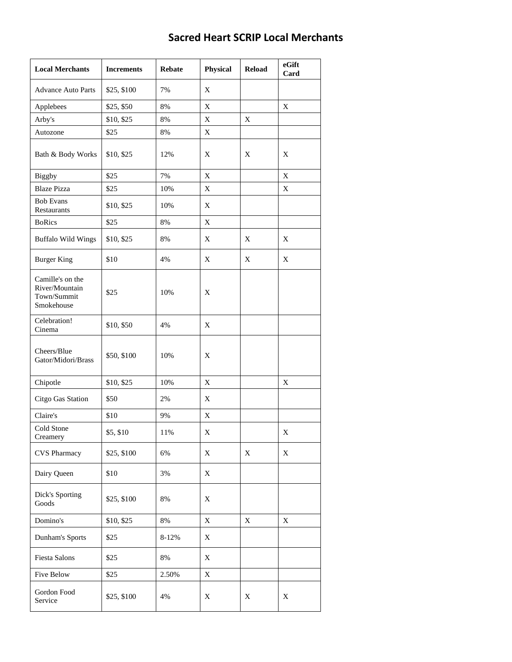## **Sacred Heart SCRIP Local Merchants**

| <b>Local Merchants</b>                                          | <b>Increments</b> | <b>Rebate</b> | <b>Physical</b> | <b>Reload</b> | eGift<br>Card |
|-----------------------------------------------------------------|-------------------|---------------|-----------------|---------------|---------------|
| <b>Advance Auto Parts</b>                                       | \$25, \$100       | 7%            | X               |               |               |
| Applebees                                                       | \$25, \$50        | 8%            | X               |               | X             |
| Arby's                                                          | \$10, \$25        | 8%            | X               | X             |               |
| Autozone                                                        | \$25              | 8%            | X               |               |               |
| Bath & Body Works                                               | \$10, \$25        | 12%           | X               | X             | X             |
| Biggby                                                          | \$25              | 7%            | X               |               | X             |
| <b>Blaze Pizza</b>                                              | \$25              | 10%           | X               |               | X             |
| <b>Bob Evans</b><br>Restaurants                                 | \$10, \$25        | 10%           | X               |               |               |
| <b>BoRics</b>                                                   | \$25              | 8%            | X               |               |               |
| <b>Buffalo Wild Wings</b>                                       | \$10, \$25        | 8%            | X               | X             | X             |
| <b>Burger King</b>                                              | \$10              | 4%            | X               | X             | X             |
| Camille's on the<br>River/Mountain<br>Town/Summit<br>Smokehouse | \$25              | 10%           | X               |               |               |
| Celebration!<br>Cinema                                          | \$10, \$50        | 4%            | X               |               |               |
| Cheers/Blue<br>Gator/Midori/Brass                               | \$50, \$100       | 10%           | X               |               |               |
| Chipotle                                                        | \$10, \$25        | 10%           | X               |               | X             |
| Citgo Gas Station                                               | \$50              | 2%            | X               |               |               |
| Claire's                                                        | \$10              | 9%            | X               |               |               |
| Cold Stone<br>Creamery                                          | \$5, \$10         | 11%           | X               |               | X             |
| <b>CVS Pharmacy</b>                                             | \$25, \$100       | 6%            | X               | X             | X             |
| Dairy Queen                                                     | \$10              | 3%            | $\mathbf X$     |               |               |
| Dick's Sporting<br>Goods                                        | \$25, \$100       | 8%            | X               |               |               |
| Domino's                                                        | \$10, \$25        | 8%            | X               | X             | X             |
| Dunham's Sports                                                 | \$25              | 8-12%         | X               |               |               |
| Fiesta Salons                                                   | \$25              | 8%            | X               |               |               |
| Five Below                                                      | \$25              | 2.50%         | X               |               |               |
| Gordon Food<br>Service                                          | \$25, \$100       | 4%            | X               | X             | X             |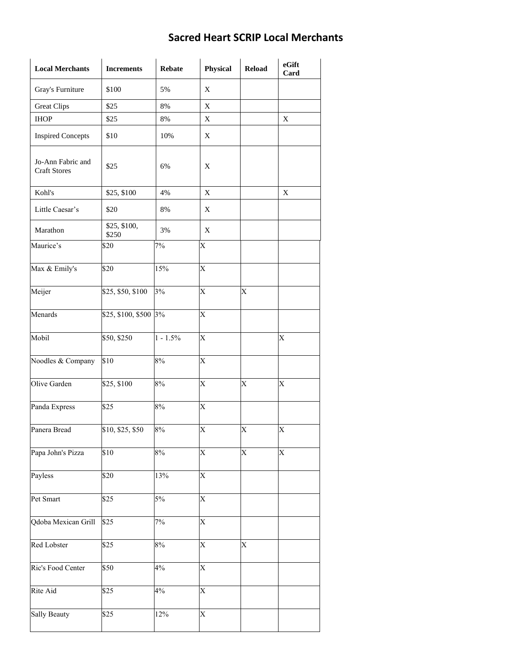## **Sacred Heart SCRIP Local Merchants**

| <b>Local Merchants</b>                   | <b>Increments</b>     | <b>Rebate</b> | <b>Physical</b> | <b>Reload</b>  | eGift<br>Card  |
|------------------------------------------|-----------------------|---------------|-----------------|----------------|----------------|
| Gray's Furniture                         | \$100                 | 5%            | X               |                |                |
| <b>Great Clips</b>                       | \$25                  | 8%            | X               |                |                |
| <b>IHOP</b>                              | \$25                  | 8%            | X               |                | X              |
| <b>Inspired Concepts</b>                 | \$10                  | 10%           | X               |                |                |
| Jo-Ann Fabric and<br><b>Craft Stores</b> | \$25                  | 6%            | X               |                |                |
| Kohl's                                   | \$25, \$100           | 4%            | X               |                | X              |
| Little Caesar's                          | \$20                  | 8%            | X               |                |                |
| Marathon                                 | \$25, \$100,<br>\$250 | 3%            | X               |                |                |
| Maurice's                                | \$20                  | 7%            | X               |                |                |
| Max & Emily's                            | \$20                  | 15%           | $\overline{X}$  |                |                |
| Meijer                                   | \$25, \$50, \$100     | 3%            | X               | X              |                |
| Menards                                  | \$25, \$100, \$500 3% |               | X               |                |                |
| Mobil                                    | \$50, \$250           | $1 - 1.5\%$   | $\overline{X}$  |                | $\overline{X}$ |
| Noodles & Company                        | \$10                  | 8%            | X               |                |                |
| Olive Garden                             | \$25, \$100           | 8%            | $\overline{X}$  | $\overline{X}$ | $\overline{X}$ |
| Panda Express                            | \$25                  | 8%            | $\overline{X}$  |                |                |
| Panera Bread                             | \$10, \$25, \$50      | 8%            | X               | X              | X              |
| Papa John's Pizza                        | \$10                  | 8%            | X               | $\overline{X}$ | $\overline{X}$ |
| Payless                                  | \$20                  | 13%           | $\overline{X}$  |                |                |
| Pet Smart                                | \$25                  | 5%            | $\overline{X}$  |                |                |
| Qdoba Mexican Grill                      | \$25                  | $7\%$         | X               |                |                |
| Red Lobster                              | \$25                  | 8%            | X               | X              |                |
| Ric's Food Center                        | \$50                  | 4%            | X               |                |                |
| Rite Aid                                 | \$25                  | 4%            | X               |                |                |
| Sally Beauty                             | \$25                  | 12%           | X               |                |                |